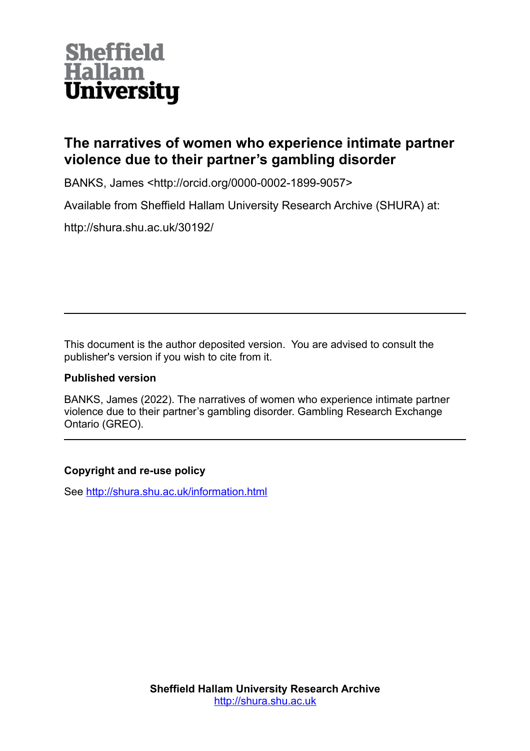### **Sheffield Hallam University**

#### **The narratives of women who experience intimate partner violence due to their partner's gambling disorder**

BANKS, James <http://orcid.org/0000-0002-1899-9057>

Available from Sheffield Hallam University Research Archive (SHURA) at:

http://shura.shu.ac.uk/30192/

This document is the author deposited version. You are advised to consult the publisher's version if you wish to cite from it.

#### **Published version**

BANKS, James (2022). The narratives of women who experience intimate partner violence due to their partner's gambling disorder. Gambling Research Exchange Ontario (GREO).

#### **Copyright and re-use policy**

See<http://shura.shu.ac.uk/information.html>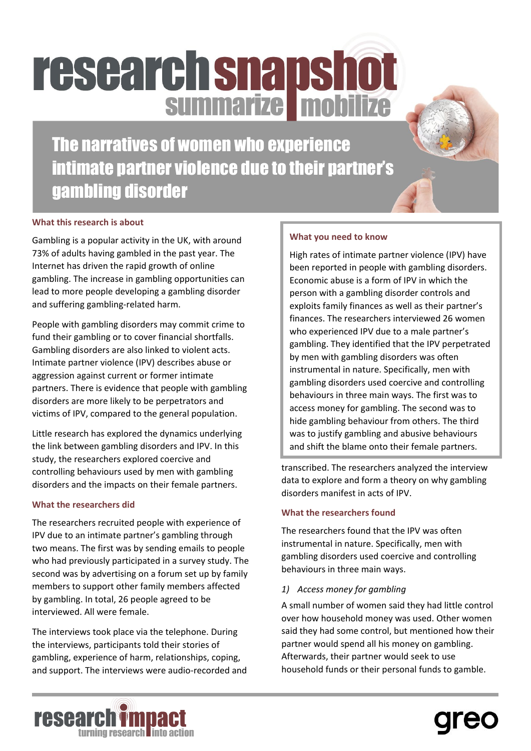## **research snapshot** summarize mobilize

The narratives of women who experience intimate partner violence due to their partner's gambling disorder

#### **What this research is about**

Gambling is a popular activity in the UK, with around 73% of adults having gambled in the past year. The Internet has driven the rapid growth of online gambling. The increase in gambling opportunities can lead to more people developing a gambling disorder and suffering gambling-related harm.

People with gambling disorders may commit crime to fund their gambling or to cover financial shortfalls. Gambling disorders are also linked to violent acts. Intimate partner violence (IPV) describes abuse or aggression against current or former intimate partners. There is evidence that people with gambling disorders are more likely to be perpetrators and victims of IPV, compared to the general population.

Little research has explored the dynamics underlying the link between gambling disorders and IPV. In this study, the researchers explored coercive and controlling behaviours used by men with gambling disorders and the impacts on their female partners.

#### **What the researchers did**

The researchers recruited people with experience of IPV due to an intimate partner's gambling through two means. The first was by sending emails to people who had previously participated in a survey study. The second was by advertising on a forum set up by family members to support other family members affected by gambling. In total, 26 people agreed to be interviewed. All were female.

The interviews took place via the telephone. During the interviews, participants told their stories of gambling, experience of harm, relationships, coping, and support. The interviews were audio-recorded and

#### **What you need to know**

High rates of intimate partner violence (IPV) have been reported in people with gambling disorders. Economic abuse is a form of IPV in which the person with a gambling disorder controls and exploits family finances as well as their partner's finances. The researchers interviewed 26 women who experienced IPV due to a male partner's gambling. They identified that the IPV perpetrated by men with gambling disorders was often instrumental in nature. Specifically, men with gambling disorders used coercive and controlling behaviours in three main ways. The first was to access money for gambling. The second was to hide gambling behaviour from others. The third was to justify gambling and abusive behaviours and shift the blame onto their female partners.

transcribed. The researchers analyzed the interview data to explore and form a theory on why gambling disorders manifest in acts of IPV.

#### **What the researchers found**

The researchers found that the IPV was often instrumental in nature. Specifically, men with gambling disorders used coercive and controlling behaviours in three main ways.

#### *1) Access money for gambling*

A small number of women said they had little control over how household money was used. Other women said they had some control, but mentioned how their partner would spend all his money on gambling. Afterwards, their partner would seek to use household funds or their personal funds to gamble.